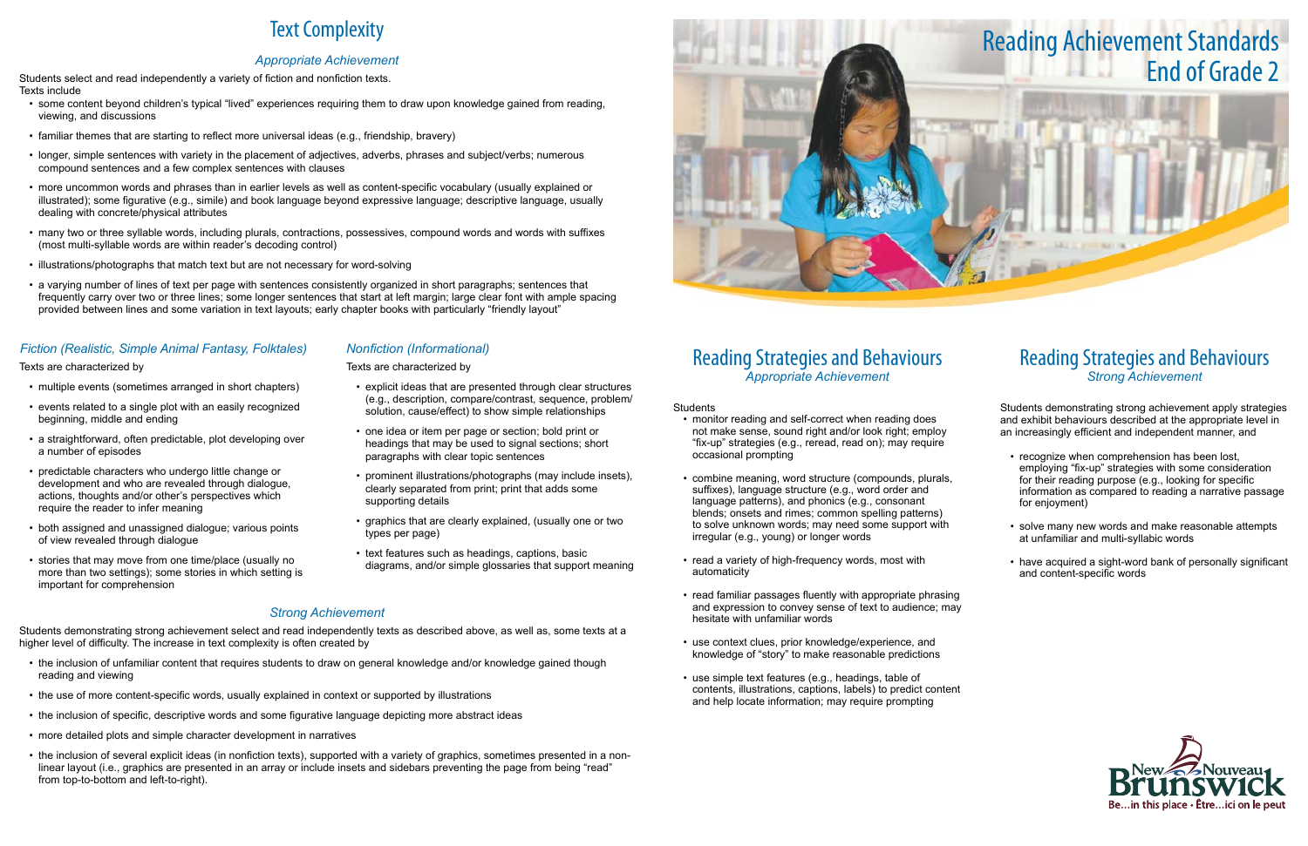## Reading Strategies and Behaviours *Appropriate Achievement*

Students

- monitor reading and self-correct when reading does not make sense, sound right and/or look right; employ "fix-up" strategies (e.g., reread, read on); may require occasional prompting
- • combine meaning, word structure (compounds, plurals, suffixes), language structure (e.g., word order and language patterns), and phonics (e.g., consonant blends; onsets and rimes; common spelling patterns) to solve unknown words; may need some support with irregular (e.g., young) or longer words
- read a variety of high-frequency words, most with automaticity
- read familiar passages fluently with appropriate phrasing and expression to convey sense of text to audience; may hesitate with unfamiliar words
- use context clues, prior knowledge/experience, and knowledge of "story" to make reasonable predictions
- • use simple text features (e.g., headings, table of contents, illustrations, captions, labels) to predict content and help locate information; may require prompting

- recognize when comprehension has been lost, employing "fix-up" strategies with some consideration for their reading purpose (e.g., looking for specific information as compared to reading a narrative passage for enjoyment)
- solve many new words and make reasonable attempts at unfamiliar and multi-syllabic words
- have acquired a sight-word bank of personally significant and content-specific words



## Reading Strategies and Behaviours *Strong Achievement*

Students demonstrating strong achievement apply strategies and exhibit behaviours described at the appropriate level in an increasingly efficient and independent manner, and

# Text Complexity

## *Appropriate Achievement*

Students select and read independently a variety of fiction and nonfiction texts. Texts include

- multiple events (sometimes arranged in short chapters)
- events related to a single plot with an easily recognized beginning, middle and ending
- a straightforward, often predictable, plot developing over a number of episodes
- predictable characters who undergo little change or development and who are revealed through dialogue, actions, thoughts and/or other's perspectives which require the reader to infer meaning
- both assigned and unassigned dialogue; various points of view revealed through dialogue
- stories that may move from one time/place (usually no more than two settings); some stories in which setting is important for comprehension
- • some content beyond children's typical "lived" experiences requiring them to draw upon knowledge gained from reading, viewing, and discussions
- familiar themes that are starting to reflect more universal ideas (e.g., friendship, bravery)
- • longer, simple sentences with variety in the placement of adjectives, adverbs, phrases and subject/verbs; numerous compound sentences and a few complex sentences with clauses
- • more uncommon words and phrases than in earlier levels as well as content-specific vocabulary (usually explained or illustrated); some figurative (e.g., simile) and book language beyond expressive language; descriptive language, usually dealing with concrete/physical attributes
- • many two or three syllable words, including plurals, contractions, possessives, compound words and words with suffixes (most multi-syllable words are within reader's decoding control)
- illustrations/photographs that match text but are not necessary for word-solving
- a varving number of lines of text per page with sentences consistently organized in short paragraphs; sentences that frequently carry over two or three lines; some longer sentences that start at left margin; large clear font with ample spacing provided between lines and some variation in text layouts; early chapter books with particularly "friendly layout"

- the inclusion of unfamiliar content that requires students to draw on general knowledge and/or knowledge gained though reading and viewing
- the use of more content-specific words, usually explained in context or supported by illustrations
- the inclusion of specific, descriptive words and some figurative language depicting more abstract ideas
- more detailed plots and simple character development in narratives
- the inclusion of several explicit ideas (in nonfiction texts), supported with a variety of graphics, sometimes presented in a nonlinear layout (i.e., graphics are presented in an array or include insets and sidebars preventing the page from being "read" from top-to-bottom and left-to-right).

## *Fiction (Realistic, Simple Animal Fantasy, Folktales)*

### Texts are characterized by

## *Nonfiction (Informational)*

### Texts are characterized by

- • explicit ideas that are presented through clear structures (e.g., description, compare/contrast, sequence, problem/ solution, cause/effect) to show simple relationships
- one idea or item per page or section; bold print or headings that may be used to signal sections; short paragraphs with clear topic sentences
- prominent illustrations/photographs (may include insets), clearly separated from print; print that adds some supporting details
- graphics that are clearly explained, (usually one or two types per page)
- text features such as headings, captions, basic diagrams, and/or simple glossaries that support meaning

## *Strong Achievement*

Students demonstrating strong achievement select and read independently texts as described above, as well as, some texts at a higher level of difficulty. The increase in text complexity is often created by